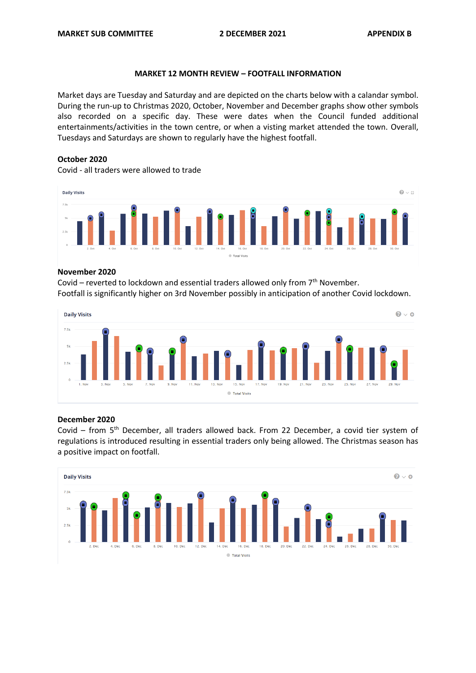## **MARKET 12 MONTH REVIEW – FOOTFALL INFORMATION**

Market days are Tuesday and Saturday and are depicted on the charts below with a calandar symbol. During the run-up to Christmas 2020, October, November and December graphs show other symbols also recorded on a specific day. These were dates when the Council funded additional entertainments/activities in the town centre, or when a visting market attended the town. Overall, Tuesdays and Saturdays are shown to regularly have the highest footfall.

# **October 2020**

Covid - all traders were allowed to trade



### **November 2020**

Covid – reverted to lockdown and essential traders allowed only from 7th November. Footfall is significantly higher on 3rd November possibly in anticipation of another Covid lockdown.



## **December 2020**

Covid – from 5th December, all traders allowed back. From 22 December, a covid tier system of regulations is introduced resulting in essential traders only being allowed. The Christmas season has a positive impact on footfall.

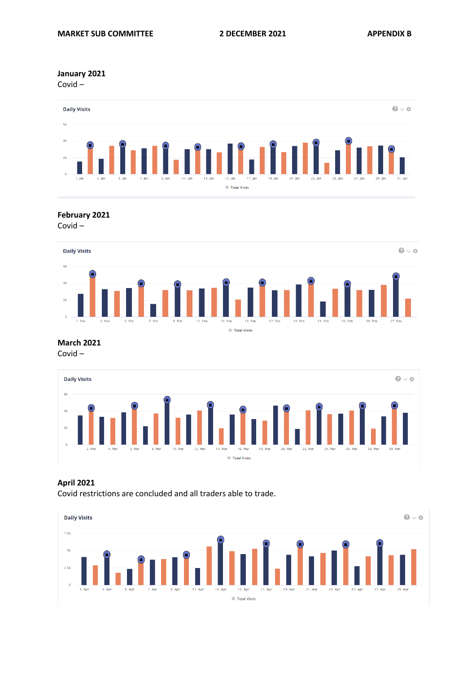**January 2021**

Covid –



**February 2021**

Covid –



**March 2021** Covid –



# **April 2021**

Covid restrictions are concluded and all traders able to trade.

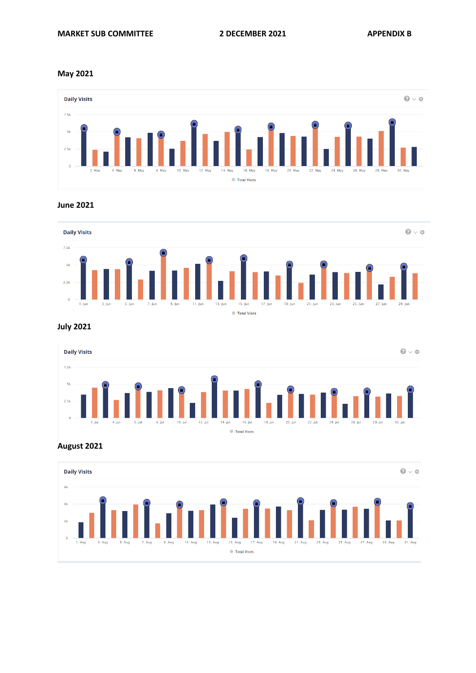### **May 2021**



### **June 2021**



**July 2021**



**August 2021**